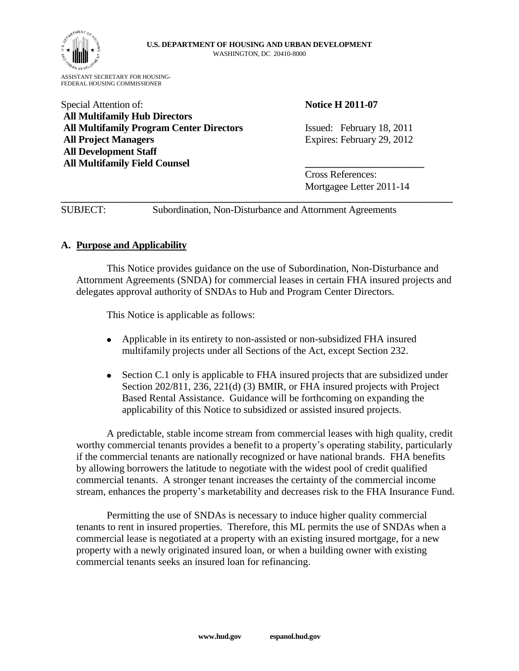

ASSISTANT SECRETARY FOR HOUSING-FEDERAL HOUSING COMMISSIONER

# Special Attention of: **Notice H** 2011-07 **All Multifamily Hub Directors All Multifamily Program Center Directors** Issued: February 18, 2011 **All Project Managers** Expires: February 29, 2012 **All Development Staff All Multifamily Field Counsel \_\_\_\_\_\_\_\_\_\_\_\_\_\_\_\_\_\_\_\_\_\_\_\_**

Cross References: Mortgagee Letter 2011-14

SUBJECT: Subordination, Non-Disturbance and Attornment Agreements

**\_\_\_\_\_\_\_\_\_\_\_\_\_\_\_\_\_\_\_\_\_\_\_\_\_\_\_\_\_\_\_\_\_\_\_\_\_\_\_\_\_\_\_\_\_\_\_\_\_\_\_\_\_\_\_\_\_\_\_\_\_\_\_\_\_\_\_\_\_\_\_\_\_\_\_\_\_\_\_**

# **A. Purpose and Applicability**

This Notice provides guidance on the use of Subordination, Non-Disturbance and Attornment Agreements (SNDA) for commercial leases in certain FHA insured projects and delegates approval authority of SNDAs to Hub and Program Center Directors.

This Notice is applicable as follows:

- Applicable in its entirety to non-assisted or non-subsidized FHA insured multifamily projects under all Sections of the Act, except Section 232.
- Section C.1 only is applicable to FHA insured projects that are subsidized under  $\bullet$ Section 202/811, 236, 221(d) (3) BMIR, or FHA insured projects with Project Based Rental Assistance. Guidance will be forthcoming on expanding the applicability of this Notice to subsidized or assisted insured projects.

A predictable, stable income stream from commercial leases with high quality, credit worthy commercial tenants provides a benefit to a property's operating stability, particularly if the commercial tenants are nationally recognized or have national brands. FHA benefits by allowing borrowers the latitude to negotiate with the widest pool of credit qualified commercial tenants. A stronger tenant increases the certainty of the commercial income stream, enhances the property's marketability and decreases risk to the FHA Insurance Fund.

Permitting the use of SNDAs is necessary to induce higher quality commercial tenants to rent in insured properties. Therefore, this ML permits the use of SNDAs when a commercial lease is negotiated at a property with an existing insured mortgage, for a new property with a newly originated insured loan, or when a building owner with existing commercial tenants seeks an insured loan for refinancing.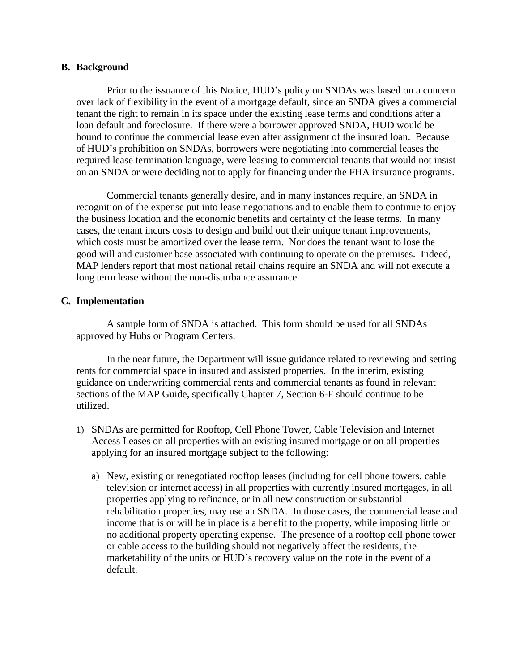## **B. Background**

Prior to the issuance of this Notice, HUD's policy on SNDAs was based on a concern over lack of flexibility in the event of a mortgage default, since an SNDA gives a commercial tenant the right to remain in its space under the existing lease terms and conditions after a loan default and foreclosure. If there were a borrower approved SNDA, HUD would be bound to continue the commercial lease even after assignment of the insured loan. Because of HUD's prohibition on SNDAs, borrowers were negotiating into commercial leases the required lease termination language, were leasing to commercial tenants that would not insist on an SNDA or were deciding not to apply for financing under the FHA insurance programs.

Commercial tenants generally desire, and in many instances require, an SNDA in recognition of the expense put into lease negotiations and to enable them to continue to enjoy the business location and the economic benefits and certainty of the lease terms. In many cases, the tenant incurs costs to design and build out their unique tenant improvements, which costs must be amortized over the lease term. Nor does the tenant want to lose the good will and customer base associated with continuing to operate on the premises. Indeed, MAP lenders report that most national retail chains require an SNDA and will not execute a long term lease without the non-disturbance assurance.

## **C. Implementation**

A sample form of SNDA is attached. This form should be used for all SNDAs approved by Hubs or Program Centers.

In the near future, the Department will issue guidance related to reviewing and setting rents for commercial space in insured and assisted properties. In the interim, existing guidance on underwriting commercial rents and commercial tenants as found in relevant sections of the MAP Guide, specifically Chapter 7, Section 6-F should continue to be utilized.

- 1) SNDAs are permitted for Rooftop, Cell Phone Tower, Cable Television and Internet Access Leases on all properties with an existing insured mortgage or on all properties applying for an insured mortgage subject to the following:
	- a) New, existing or renegotiated rooftop leases (including for cell phone towers, cable television or internet access) in all properties with currently insured mortgages, in all properties applying to refinance, or in all new construction or substantial rehabilitation properties, may use an SNDA. In those cases, the commercial lease and income that is or will be in place is a benefit to the property, while imposing little or no additional property operating expense. The presence of a rooftop cell phone tower or cable access to the building should not negatively affect the residents, the marketability of the units or HUD's recovery value on the note in the event of a default.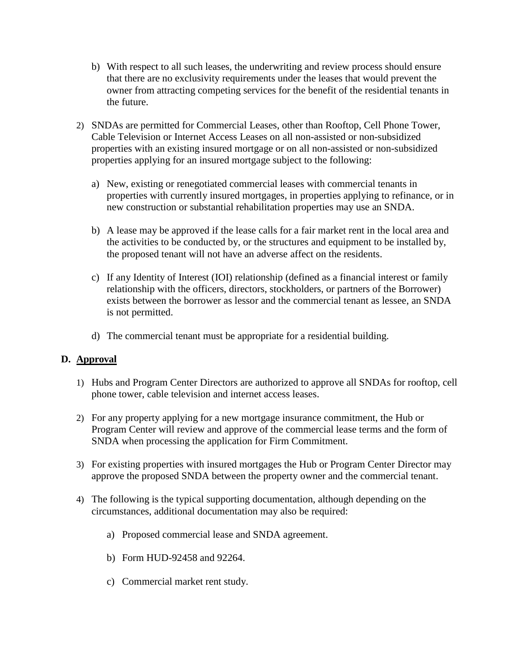- b) With respect to all such leases, the underwriting and review process should ensure that there are no exclusivity requirements under the leases that would prevent the owner from attracting competing services for the benefit of the residential tenants in the future.
- 2) SNDAs are permitted for Commercial Leases, other than Rooftop, Cell Phone Tower, Cable Television or Internet Access Leases on all non-assisted or non-subsidized properties with an existing insured mortgage or on all non-assisted or non-subsidized properties applying for an insured mortgage subject to the following:
	- a) New, existing or renegotiated commercial leases with commercial tenants in properties with currently insured mortgages, in properties applying to refinance, or in new construction or substantial rehabilitation properties may use an SNDA.
	- b) A lease may be approved if the lease calls for a fair market rent in the local area and the activities to be conducted by, or the structures and equipment to be installed by, the proposed tenant will not have an adverse affect on the residents.
	- c) If any Identity of Interest (IOI) relationship (defined as a financial interest or family relationship with the officers, directors, stockholders, or partners of the Borrower) exists between the borrower as lessor and the commercial tenant as lessee, an SNDA is not permitted.
	- d) The commercial tenant must be appropriate for a residential building.

# **D. Approval**

- 1) Hubs and Program Center Directors are authorized to approve all SNDAs for rooftop, cell phone tower, cable television and internet access leases.
- 2) For any property applying for a new mortgage insurance commitment, the Hub or Program Center will review and approve of the commercial lease terms and the form of SNDA when processing the application for Firm Commitment.
- 3) For existing properties with insured mortgages the Hub or Program Center Director may approve the proposed SNDA between the property owner and the commercial tenant.
- 4) The following is the typical supporting documentation, although depending on the circumstances, additional documentation may also be required:
	- a) Proposed commercial lease and SNDA agreement.
	- b) Form HUD-92458 and 92264.
	- c) Commercial market rent study.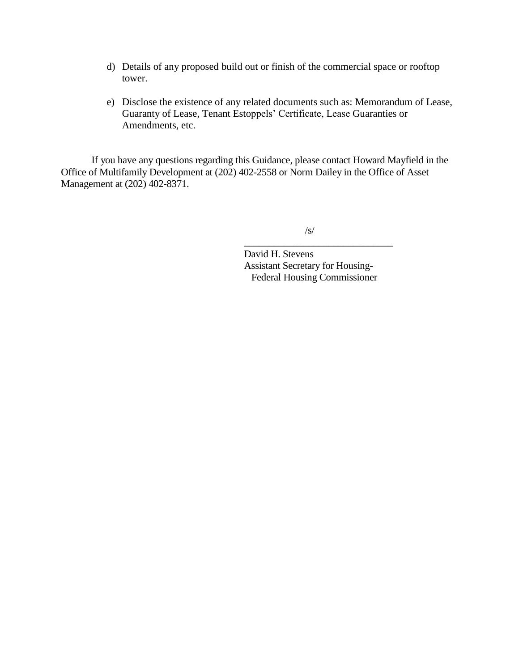- d) Details of any proposed build out or finish of the commercial space or rooftop tower.
- e) Disclose the existence of any related documents such as: Memorandum of Lease, Guaranty of Lease, Tenant Estoppels' Certificate, Lease Guaranties or Amendments, etc.

If you have any questions regarding this Guidance, please contact Howard Mayfield in the Office of Multifamily Development at (202) 402-2558 or Norm Dailey in the Office of Asset Management at (202) 402-8371.

 $\sqrt{s}$ 

\_\_\_\_\_\_\_\_\_\_\_\_\_\_\_\_\_\_\_\_\_\_\_\_\_\_\_\_\_\_

David H. Stevens Assistant Secretary for Housing- Federal Housing Commissioner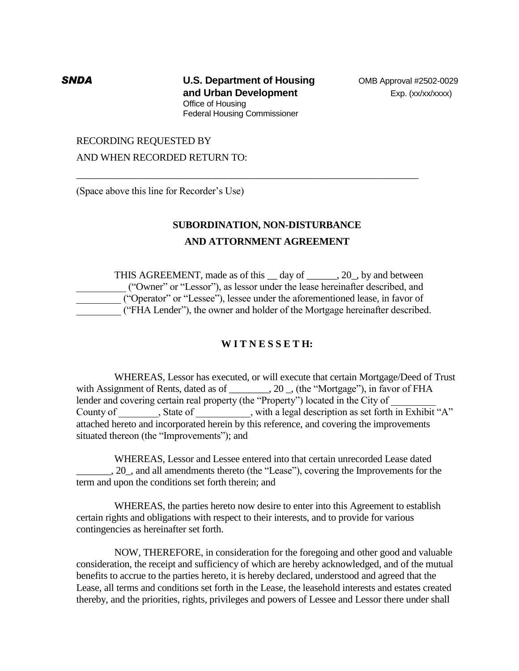**SNDA U.S. Department of Housing** OMB Approval #2502-0029 **and Urban Development Exp. (xx/xx/xxxx)** Office of Housing Federal Housing Commissioner

\_\_\_\_\_\_\_\_\_\_\_\_\_\_\_\_\_\_\_\_\_\_\_\_\_\_\_\_\_\_\_\_\_\_\_\_\_\_\_\_\_\_\_\_\_\_\_\_\_\_\_\_\_\_\_\_\_\_\_\_\_\_\_\_\_\_\_\_\_

### RECORDING REQUESTED BY

AND WHEN RECORDED RETURN TO:

(Space above this line for Recorder's Use)

## **SUBORDINATION, NON-DISTURBANCE**

## **AND ATTORNMENT AGREEMENT**

THIS AGREEMENT, made as of this \_\_ day of \_\_\_\_\_\_, 20\_, by and between \_\_\_\_\_\_\_\_\_\_ ("Owner" or "Lessor"), as lessor under the lease hereinafter described, and \_\_\_\_\_\_\_\_\_ ("Operator" or "Lessee"), lessee under the aforementioned lease, in favor of \_\_\_\_\_\_\_\_\_ ("FHA Lender"), the owner and holder of the Mortgage hereinafter described.

## **W I T N E S S E T H:**

WHEREAS, Lessor has executed, or will execute that certain Mortgage/Deed of Trust with Assignment of Rents, dated as of \_\_\_\_\_\_, 20 \_, (the "Mortgage"), in favor of FHA lender and covering certain real property (the "Property") located in the City of County of \_\_\_\_\_\_\_\_, State of \_\_\_\_\_\_\_\_\_, with a legal description as set forth in Exhibit "A" attached hereto and incorporated herein by this reference, and covering the improvements situated thereon (the "Improvements"); and

WHEREAS, Lessor and Lessee entered into that certain unrecorded Lease dated \_\_\_\_\_\_\_, 20\_, and all amendments thereto (the "Lease"), covering the Improvements for the term and upon the conditions set forth therein; and

WHEREAS, the parties hereto now desire to enter into this Agreement to establish certain rights and obligations with respect to their interests, and to provide for various contingencies as hereinafter set forth.

NOW, THEREFORE, in consideration for the foregoing and other good and valuable consideration, the receipt and sufficiency of which are hereby acknowledged, and of the mutual benefits to accrue to the parties hereto, it is hereby declared, understood and agreed that the Lease, all terms and conditions set forth in the Lease, the leasehold interests and estates created thereby, and the priorities, rights, privileges and powers of Lessee and Lessor there under shall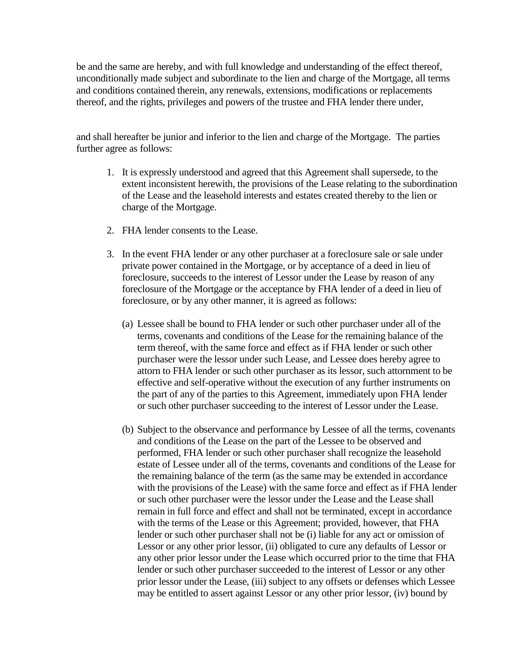be and the same are hereby, and with full knowledge and understanding of the effect thereof, unconditionally made subject and subordinate to the lien and charge of the Mortgage, all terms and conditions contained therein, any renewals, extensions, modifications or replacements thereof, and the rights, privileges and powers of the trustee and FHA lender there under,

and shall hereafter be junior and inferior to the lien and charge of the Mortgage. The parties further agree as follows:

- 1. It is expressly understood and agreed that this Agreement shall supersede, to the extent inconsistent herewith, the provisions of the Lease relating to the subordination of the Lease and the leasehold interests and estates created thereby to the lien or charge of the Mortgage.
- 2. FHA lender consents to the Lease.
- 3. In the event FHA lender or any other purchaser at a foreclosure sale or sale under private power contained in the Mortgage, or by acceptance of a deed in lieu of foreclosure, succeeds to the interest of Lessor under the Lease by reason of any foreclosure of the Mortgage or the acceptance by FHA lender of a deed in lieu of foreclosure, or by any other manner, it is agreed as follows:
	- (a) Lessee shall be bound to FHA lender or such other purchaser under all of the terms, covenants and conditions of the Lease for the remaining balance of the term thereof, with the same force and effect as if FHA lender or such other purchaser were the lessor under such Lease, and Lessee does hereby agree to attorn to FHA lender or such other purchaser as its lessor, such attornment to be effective and self-operative without the execution of any further instruments on the part of any of the parties to this Agreement, immediately upon FHA lender or such other purchaser succeeding to the interest of Lessor under the Lease.
	- (b) Subject to the observance and performance by Lessee of all the terms, covenants and conditions of the Lease on the part of the Lessee to be observed and performed, FHA lender or such other purchaser shall recognize the leasehold estate of Lessee under all of the terms, covenants and conditions of the Lease for the remaining balance of the term (as the same may be extended in accordance with the provisions of the Lease) with the same force and effect as if FHA lender or such other purchaser were the lessor under the Lease and the Lease shall remain in full force and effect and shall not be terminated, except in accordance with the terms of the Lease or this Agreement; provided, however, that FHA lender or such other purchaser shall not be (i) liable for any act or omission of Lessor or any other prior lessor, (ii) obligated to cure any defaults of Lessor or any other prior lessor under the Lease which occurred prior to the time that FHA lender or such other purchaser succeeded to the interest of Lessor or any other prior lessor under the Lease, (iii) subject to any offsets or defenses which Lessee may be entitled to assert against Lessor or any other prior lessor, (iv) bound by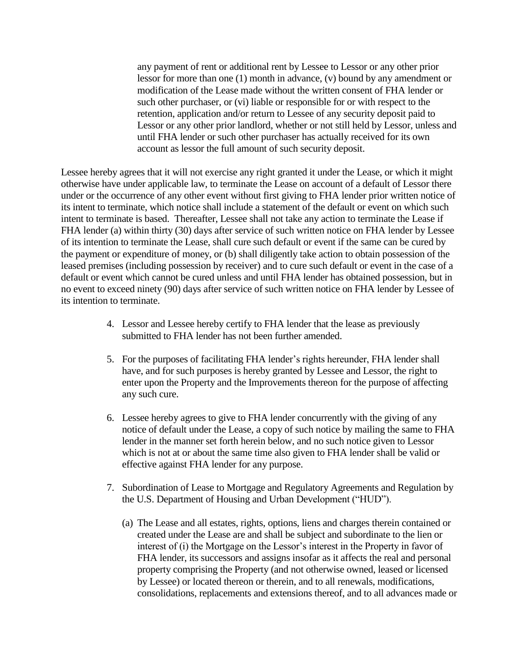any payment of rent or additional rent by Lessee to Lessor or any other prior lessor for more than one (1) month in advance, (v) bound by any amendment or modification of the Lease made without the written consent of FHA lender or such other purchaser, or (vi) liable or responsible for or with respect to the retention, application and/or return to Lessee of any security deposit paid to Lessor or any other prior landlord, whether or not still held by Lessor, unless and until FHA lender or such other purchaser has actually received for its own account as lessor the full amount of such security deposit.

Lessee hereby agrees that it will not exercise any right granted it under the Lease, or which it might otherwise have under applicable law, to terminate the Lease on account of a default of Lessor there under or the occurrence of any other event without first giving to FHA lender prior written notice of its intent to terminate, which notice shall include a statement of the default or event on which such intent to terminate is based. Thereafter, Lessee shall not take any action to terminate the Lease if FHA lender (a) within thirty (30) days after service of such written notice on FHA lender by Lessee of its intention to terminate the Lease, shall cure such default or event if the same can be cured by the payment or expenditure of money, or (b) shall diligently take action to obtain possession of the leased premises (including possession by receiver) and to cure such default or event in the case of a default or event which cannot be cured unless and until FHA lender has obtained possession, but in no event to exceed ninety (90) days after service of such written notice on FHA lender by Lessee of its intention to terminate.

- 4. Lessor and Lessee hereby certify to FHA lender that the lease as previously submitted to FHA lender has not been further amended.
- 5. For the purposes of facilitating FHA lender's rights hereunder, FHA lender shall have, and for such purposes is hereby granted by Lessee and Lessor, the right to enter upon the Property and the Improvements thereon for the purpose of affecting any such cure.
- 6. Lessee hereby agrees to give to FHA lender concurrently with the giving of any notice of default under the Lease, a copy of such notice by mailing the same to FHA lender in the manner set forth herein below, and no such notice given to Lessor which is not at or about the same time also given to FHA lender shall be valid or effective against FHA lender for any purpose.
- 7. Subordination of Lease to Mortgage and Regulatory Agreements and Regulation by the U.S. Department of Housing and Urban Development ("HUD").
	- (a) The Lease and all estates, rights, options, liens and charges therein contained or created under the Lease are and shall be subject and subordinate to the lien or interest of (i) the Mortgage on the Lessor's interest in the Property in favor of FHA lender, its successors and assigns insofar as it affects the real and personal property comprising the Property (and not otherwise owned, leased or licensed by Lessee) or located thereon or therein, and to all renewals, modifications, consolidations, replacements and extensions thereof, and to all advances made or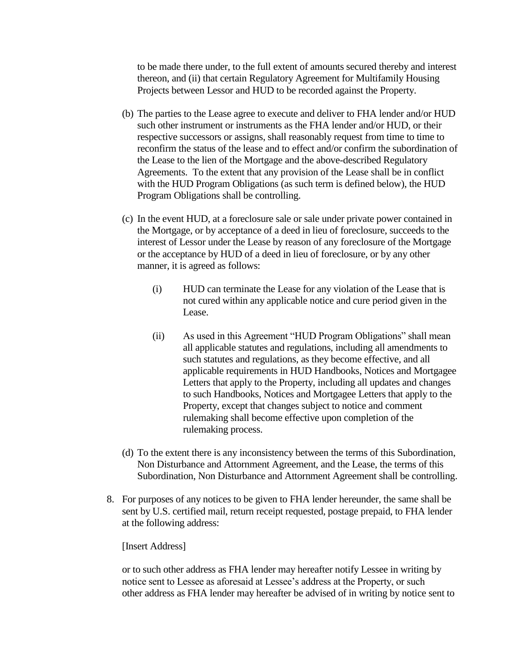to be made there under, to the full extent of amounts secured thereby and interest thereon, and (ii) that certain Regulatory Agreement for Multifamily Housing Projects between Lessor and HUD to be recorded against the Property.

- (b) The parties to the Lease agree to execute and deliver to FHA lender and/or HUD such other instrument or instruments as the FHA lender and/or HUD, or their respective successors or assigns, shall reasonably request from time to time to reconfirm the status of the lease and to effect and/or confirm the subordination of the Lease to the lien of the Mortgage and the above-described Regulatory Agreements. To the extent that any provision of the Lease shall be in conflict with the HUD Program Obligations (as such term is defined below), the HUD Program Obligations shall be controlling.
- (c) In the event HUD, at a foreclosure sale or sale under private power contained in the Mortgage, or by acceptance of a deed in lieu of foreclosure, succeeds to the interest of Lessor under the Lease by reason of any foreclosure of the Mortgage or the acceptance by HUD of a deed in lieu of foreclosure, or by any other manner, it is agreed as follows:
	- (i) HUD can terminate the Lease for any violation of the Lease that is not cured within any applicable notice and cure period given in the Lease.
	- (ii) As used in this Agreement "HUD Program Obligations" shall mean all applicable statutes and regulations, including all amendments to such statutes and regulations, as they become effective, and all applicable requirements in HUD Handbooks, Notices and Mortgagee Letters that apply to the Property, including all updates and changes to such Handbooks, Notices and Mortgagee Letters that apply to the Property, except that changes subject to notice and comment rulemaking shall become effective upon completion of the rulemaking process.
- (d) To the extent there is any inconsistency between the terms of this Subordination, Non Disturbance and Attornment Agreement, and the Lease, the terms of this Subordination, Non Disturbance and Attornment Agreement shall be controlling.
- 8. For purposes of any notices to be given to FHA lender hereunder, the same shall be sent by U.S. certified mail, return receipt requested, postage prepaid, to FHA lender at the following address:

## [Insert Address]

or to such other address as FHA lender may hereafter notify Lessee in writing by notice sent to Lessee as aforesaid at Lessee's address at the Property, or such other address as FHA lender may hereafter be advised of in writing by notice sent to